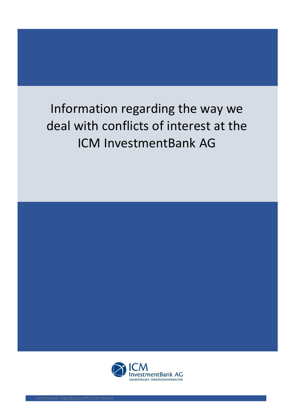## Information regarding the way we deal with conflicts of interest at the ICM InvestmentBank AG

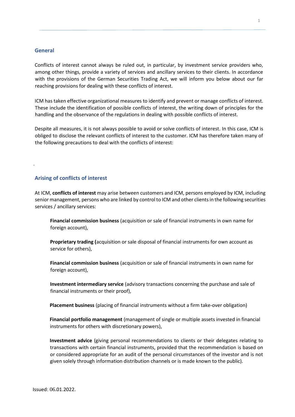## **General**

.

Conflicts of interest cannot always be ruled out, in particular, by investment service providers who, among other things, provide a variety of services and ancillary services to their clients. In accordance with the provisions of the German Securities Trading Act, we will inform you below about our far reaching provisions for dealing with these conflicts of interest.

ICM has taken effective organizational measures to identify and prevent or manage conflicts of interest. These include the identification of possible conflicts of interest, the writing down of principles for the handling and the observance of the regulations in dealing with possible conflicts of interest.

Despite all measures, it is not always possible to avoid or solve conflicts of interest. In this case, ICM is obliged to disclose the relevant conflicts of interest to the customer. ICM has therefore taken many of the following precautions to deal with the conflicts of interest:

## **Arising of conflicts of interest**

At ICM, **conflicts of interest** may arise between customers and ICM, persons employed by ICM, including senior management, persons who are linked by control to ICM and other clients in the following securities services / ancillary services:

**Financial commission business** (acquisition or sale of financial instruments in own name for foreign account),

**Proprietary trading (**acquisition or sale disposal of financial instruments for own account as service for others),

**Financial commission business** (acquisition or sale of financial instruments in own name for foreign account),

**Investment intermediary service** (advisory transactions concerning the purchase and sale of financial instruments or their proof),

**Placement business** (placing of financial instruments without a firm take-over obligation)

**Financial portfolio management** (management of single or multiple assets invested in financial instruments for others with discretionary powers),

**Investment advice** (giving personal recommendations to clients or their delegates relating to transactions with certain financial instruments, provided that the recommendation is based on or considered appropriate for an audit of the personal circumstances of the investor and is not given solely through information distribution channels or is made known to the public).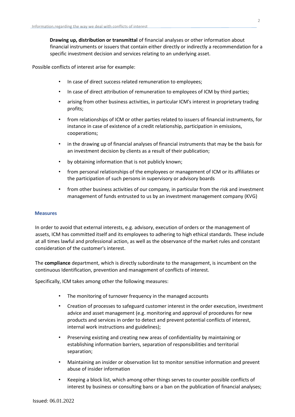**Drawing up, distribution or transmittal** of financial analyses or other information about financial instruments or issuers that contain either directly or indirectly a recommendation for a specific investment decision and services relating to an underlying asset.

Possible conflicts of interest arise for example:

- In case of direct success related remuneration to employees;
- In case of direct attribution of remuneration to employees of ICM by third parties;
- arising from other business activities, in particular ICM's interest in proprietary trading profits;
- from relationships of ICM or other parties related to issuers of financial instruments, for instance in case of existence of a credit relationship, participation in emissions, cooperations;
- in the drawing up of financial analyses of financial instruments that may be the basis for an investment decision by clients as a result of their publication;
- by obtaining information that is not publicly known;
- from personal relationships of the employees or management of ICM or its affiliates or the participation of such persons in supervisory or advisory boards
- from other business activities of our company, in particular from the risk and investment management of funds entrusted to us by an investment management company (KVG)

## **Measures**

In order to avoid that external interests, e.g. advisory, execution of orders or the management of assets, ICM has committed itself and its employees to adhering to high ethical standards. These include at all times lawful and professional action, as well as the observance of the market rules and constant consideration of the customer's interest.

The **compliance** department, which is directly subordinate to the management, is incumbent on the continuous Identification, prevention and management of conflicts of interest.

Specifically, ICM takes among other the following measures:

- The monitoring of turnover frequency in the managed accounts
- Creation of processes to safeguard customer interest in the order execution, investment advice and asset management (e.g. monitoring and approval of procedures for new products and services in order to detect and prevent potential conflicts of interest, internal work instructions and guidelines);
- Preserving existing and creating new areas of confidentiality by maintaining or establishing information barriers, separation of responsibilities and territorial separation;
- Maintaining an insider or observation list to monitor sensitive information and prevent abuse of insider information
- Keeping a block list, which among other things serves to counter possible conflicts of interest by business or consulting bans or a ban on the publication of financial analyses;